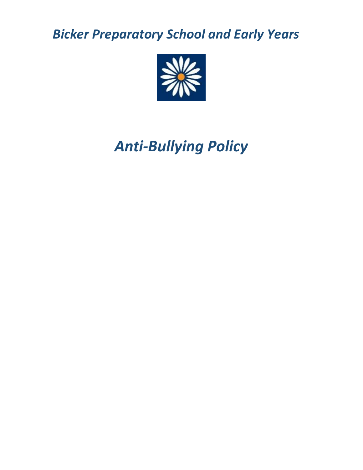*Bicker Preparatory School and Early Years*



*Anti-Bullying Policy*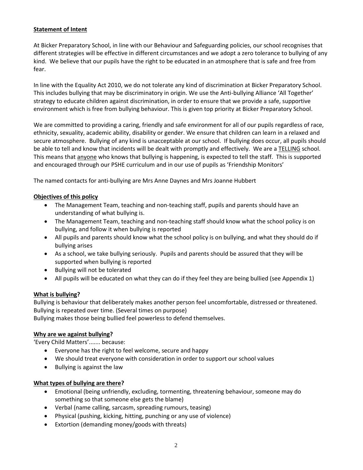## **Statement of Intent**

At Bicker Preparatory School, in line with our Behaviour and Safeguarding policies, our school recognises that different strategies will be effective in different circumstances and we adopt a zero tolerance to bullying of any kind. We believe that our pupils have the right to be educated in an atmosphere that is safe and free from fear.

In line with the Equality Act 2010, we do not tolerate any kind of discrimination at Bicker Preparatory School. This includes bullying that may be discriminatory in origin. We use the Anti-bullying Alliance 'All Together' strategy to educate children against discrimination, in order to ensure that we provide a safe, supportive environment which is free from bullying behaviour. This is given top priority at Bicker Preparatory School.

We are committed to providing a caring, friendly and safe environment for all of our pupils regardless of race, ethnicity, sexuality, academic ability, disability or gender. We ensure that children can learn in a relaxed and secure atmosphere. Bullying of any kind is unacceptable at our school. If bullying does occur, all pupils should be able to tell and know that incidents will be dealt with promptly and effectively. We are a TELLING school. This means that anyone who knows that bullying is happening, is expected to tell the staff. This is supported and encouraged through our PSHE curriculum and in our use of pupils as 'Friendship Monitors'

The named contacts for anti-bullying are Mrs Anne Daynes and Mrs Joanne Hubbert

### **Objectives of this policy**

- The Management Team, teaching and non-teaching staff, pupils and parents should have an understanding of what bullying is.
- The Management Team, teaching and non-teaching staff should know what the school policy is on bullying, and follow it when bullying is reported
- All pupils and parents should know what the school policy is on bullying, and what they should do if bullying arises
- As a school, we take bullying seriously. Pupils and parents should be assured that they will be supported when bullying is reported
- Bullying will not be tolerated
- All pupils will be educated on what they can do if they feel they are being bullied (see Appendix 1)

### **What is bullying?**

Bullying is behaviour that deliberately makes another person feel uncomfortable, distressed or threatened. Bullying is repeated over time. (Several times on purpose) Bullying makes those being bullied feel powerless to defend themselves.

### **Why are we against bullying?**

'Every Child Matters'....... because:

- Everyone has the right to feel welcome, secure and happy
- We should treat everyone with consideration in order to support our school values
- Bullying is against the law

### **What types of bullying are there?**

- Emotional (being unfriendly, excluding, tormenting, threatening behaviour, someone may do something so that someone else gets the blame)
- Verbal (name calling, sarcasm, spreading rumours, teasing)
- Physical (pushing, kicking, hitting, punching or any use of violence)
- Extortion (demanding money/goods with threats)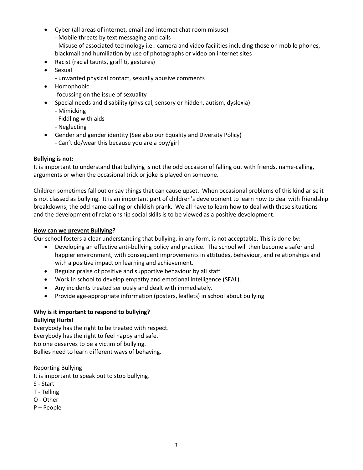- Cyber (all areas of internet, email and internet chat room misuse)
	- Mobile threats by text messaging and calls
	- Misuse of associated technology i.e.: camera and video facilities including those on mobile phones, blackmail and humiliation by use of photographs or video on internet sites
- Racist (racial taunts, graffiti, gestures)
- Sexual
	- unwanted physical contact, sexually abusive comments
- Homophobic
	- -focussing on the issue of sexuality
- Special needs and disability (physical, sensory or hidden, autism, dyslexia)
	- Mimicking
	- Fiddling with aids
	- Neglecting
- Gender and gender identity (See also our Equality and Diversity Policy) - Can't do/wear this because you are a boy/girl

# **Bullying is not:**

It is important to understand that bullying is not the odd occasion of falling out with friends, name-calling, arguments or when the occasional trick or joke is played on someone.

Children sometimes fall out or say things that can cause upset. When occasional problems of this kind arise it is not classed as bullying. It is an important part of children's development to learn how to deal with friendship breakdowns, the odd name-calling or childish prank. We all have to learn how to deal with these situations and the development of relationship social skills is to be viewed as a positive development.

## **How can we prevent Bullying?**

Our school fosters a clear understanding that bullying, in any form, is not acceptable. This is done by:

- Developing an effective anti-bullying policy and practice. The school will then become a safer and happier environment, with consequent improvements in attitudes, behaviour, and relationships and with a positive impact on learning and achievement.
- Regular praise of positive and supportive behaviour by all staff.
- Work in school to develop empathy and emotional intelligence (SEAL).
- Any incidents treated seriously and dealt with immediately.
- Provide age-appropriate information (posters, leaflets) in school about bullying

# **Why is it important to respond to bullying?**

# **Bullying Hurts!**

Everybody has the right to be treated with respect. Everybody has the right to feel happy and safe. No one deserves to be a victim of bullying. Bullies need to learn different ways of behaving.

# Reporting Bullying

It is important to speak out to stop bullying.

- S Start
- T Telling
- O Other
- P People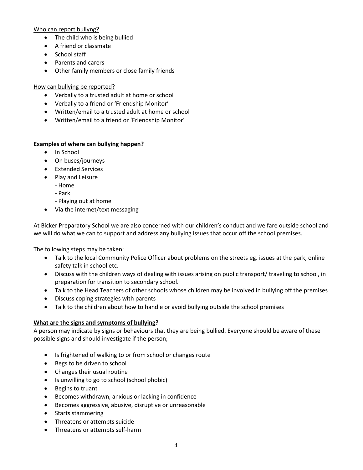## Who can report bullyng?

- The child who is being bullied
- A friend or classmate
- School staff
- Parents and carers
- Other family members or close family friends

# How can bullying be reported?

- Verbally to a trusted adult at home or school
- Verbally to a friend or 'Friendship Monitor'
- Written/email to a trusted adult at home or school
- Written/email to a friend or 'Friendship Monitor'

# **Examples of where can bullying happen?**

- In School
- On buses/journeys
- Extended Services
- Play and Leisure
	- Home
	- Park
	- Playing out at home
- Via the internet/text messaging

At Bicker Preparatory School we are also concerned with our children's conduct and welfare outside school and we will do what we can to support and address any bullying issues that occur off the school premises.

The following steps may be taken:

- Talk to the local Community Police Officer about problems on the streets eg. issues at the park, online safety talk in school etc.
- Discuss with the children ways of dealing with issues arising on public transport/ traveling to school, in preparation for transition to secondary school.
- Talk to the Head Teachers of other schools whose children may be involved in bullying off the premises
- Discuss coping strategies with parents
- Talk to the children about how to handle or avoid bullying outside the school premises

# **What are the signs and symptoms of bullying?**

A person may indicate by signs or behaviours that they are being bullied. Everyone should be aware of these possible signs and should investigate if the person;

- Is frightened of walking to or from school or changes route
- Begs to be driven to school
- Changes their usual routine
- Is unwilling to go to school (school phobic)
- Begins to truant
- Becomes withdrawn, anxious or lacking in confidence
- Becomes aggressive, abusive, disruptive or unreasonable
- Starts stammering
- Threatens or attempts suicide
- Threatens or attempts self-harm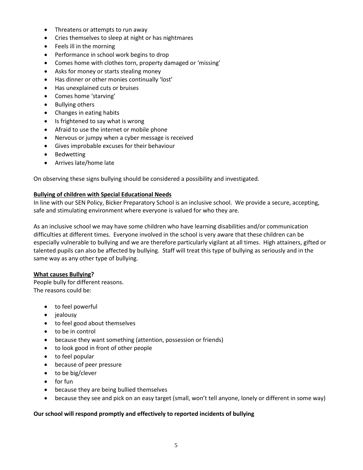- Threatens or attempts to run away
- Cries themselves to sleep at night or has nightmares
- Feels ill in the morning
- Performance in school work begins to drop
- Comes home with clothes torn, property damaged or 'missing'
- Asks for money or starts stealing money
- Has dinner or other monies continually 'lost'
- Has unexplained cuts or bruises
- Comes home 'starving'
- Bullying others
- Changes in eating habits
- Is frightened to say what is wrong
- Afraid to use the internet or mobile phone
- Nervous or jumpy when a cyber message is received
- Gives improbable excuses for their behaviour
- Bedwetting
- Arrives late/home late

On observing these signs bullying should be considered a possibility and investigated.

### **Bullying of children with Special Educational Needs**

In line with our SEN Policy, Bicker Preparatory School is an inclusive school. We provide a secure, accepting, safe and stimulating environment where everyone is valued for who they are.

As an inclusive school we may have some children who have learning disabilities and/or communication difficulties at different times. Everyone involved in the school is very aware that these children can be especially vulnerable to bullying and we are therefore particularly vigilant at all times. High attainers, gifted or talented pupils can also be affected by bullying. Staff will treat this type of bullying as seriously and in the same way as any other type of bullying.

### **What causes Bullying?**

People bully for different reasons. The reasons could be:

- to feel powerful
- jealousy
- to feel good about themselves
- to be in control
- because they want something (attention, possession or friends)
- to look good in front of other people
- to feel popular
- because of peer pressure
- to be big/clever
- for fun
- because they are being bullied themselves
- because they see and pick on an easy target (small, won't tell anyone, lonely or different in some way)

### **Our school will respond promptly and effectively to reported incidents of bullying**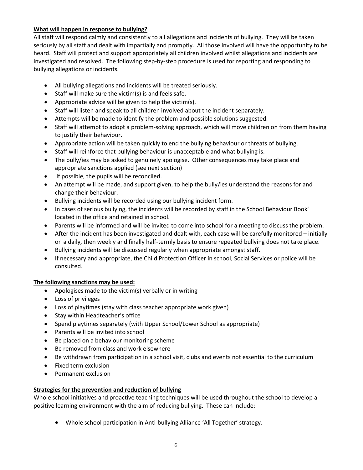# **What will happen in response to bullying?**

All staff will respond calmly and consistently to all allegations and incidents of bullying. They will be taken seriously by all staff and dealt with impartially and promptly. All those involved will have the opportunity to be heard. Staff will protect and support appropriately all children involved whilst allegations and incidents are investigated and resolved. The following step-by-step procedure is used for reporting and responding to bullying allegations or incidents.

- All bullying allegations and incidents will be treated seriously.
- Staff will make sure the victim(s) is and feels safe.
- Appropriate advice will be given to help the victim(s).
- Staff will listen and speak to all children involved about the incident separately.
- Attempts will be made to identify the problem and possible solutions suggested.
- Staff will attempt to adopt a problem-solving approach, which will move children on from them having to justify their behaviour.
- Appropriate action will be taken quickly to end the bullying behaviour or threats of bullying.
- Staff will reinforce that bullying behaviour is unacceptable and what bullying is.
- The bully/ies may be asked to genuinely apologise. Other consequences may take place and appropriate sanctions applied (see next section)
- If possible, the pupils will be reconciled.
- An attempt will be made, and support given, to help the bully/ies understand the reasons for and change their behaviour.
- Bullying incidents will be recorded using our bullying incident form.
- In cases of serious bullying, the incidents will be recorded by staff in the School Behaviour Book' located in the office and retained in school.
- Parents will be informed and will be invited to come into school for a meeting to discuss the problem.
- After the incident has been investigated and dealt with, each case will be carefully monitored initially on a daily, then weekly and finally half-termly basis to ensure repeated bullying does not take place.
- Bullying incidents will be discussed regularly when appropriate amongst staff.
- If necessary and appropriate, the Child Protection Officer in school, Social Services or police will be consulted.

# **The following sanctions may be used:**

- Apologises made to the victim(s) verbally or in writing
- Loss of privileges
- Loss of playtimes (stay with class teacher appropriate work given)
- Stay within Headteacher's office
- Spend playtimes separately (with Upper School/Lower School as appropriate)
- Parents will be invited into school
- Be placed on a behaviour monitoring scheme
- Be removed from class and work elsewhere
- Be withdrawn from participation in a school visit, clubs and events not essential to the curriculum
- Fixed term exclusion
- Permanent exclusion

# **Strategies for the prevention and reduction of bullying**

Whole school initiatives and proactive teaching techniques will be used throughout the school to develop a positive learning environment with the aim of reducing bullying. These can include:

• Whole school participation in Anti-bullying Alliance 'All Together' strategy.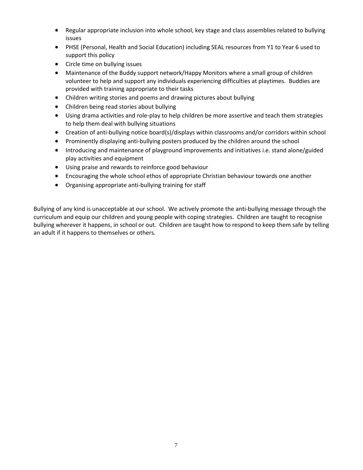- Regular appropriate inclusion into whole school, key stage and class assemblies related to bullying issues
- PHSE (Personal, Health and Social Education) including SEAL resources from Y1 to Year 6 used to support this policy
- Circle time on bullying issues
- Maintenance of the Buddy support network/Happy Monitors where a small group of children volunteer to help and support any individuals experiencing difficulties at playtimes. Buddies are provided with training appropriate to their tasks
- Children writing stories and poems and drawing pictures about bullying
- Children being read stories about bullying
- Using drama activities and role-play to help children be more assertive and teach them strategies to help them deal with bullying situations
- Creation of anti-bullying notice board(s)/displays within classrooms and/or corridors within school
- Prominently displaying anti-bullying posters produced by the children around the school
- Introducing and maintenance of playground improvements and initiatives i.e. stand alone/guided play activities and equipment
- Using praise and rewards to reinforce good behaviour
- Encouraging the whole school ethos of appropriate Christian behaviour towards one another
- Organising appropriate anti-bullying training for staff

Bullying of any kind is unacceptable at our school. We actively promote the anti-bullying message through the curriculum and equip our children and young people with coping strategies. Children are taught to recognise bullying wherever it happens, in school or out. Children are taught how to respond to keep them safe by telling an adult if it happens to themselves or others.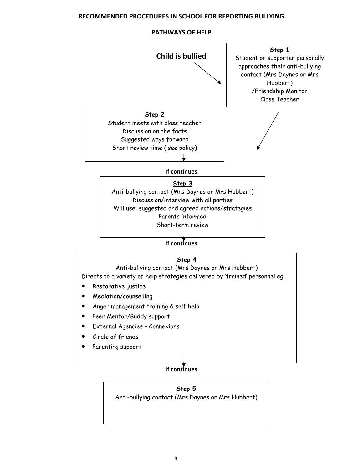## **RECOMMENDED PROCEDURES IN SCHOOL FOR REPORTING BULLYING**

### **PATHWAYS OF HELP**